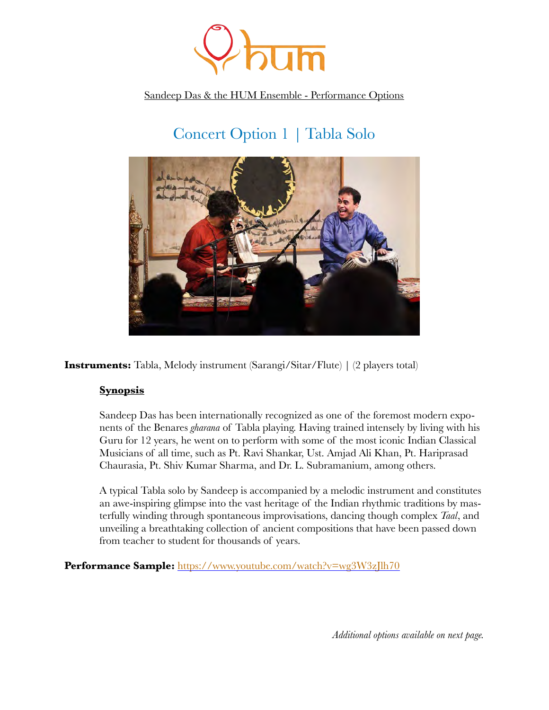

Sandeep Das & the HUM Ensemble - Performance Options

# Concert Option 1 *|* Tabla Solo



**Instruments:** Tabla, Melody instrument (Sarangi/Sitar/Flute) | (2 players total)

## **Synopsis**

Sandeep Das has been internationally recognized as one of the foremost modern exponents of the Benares *gharana* of Tabla playing. Having trained intensely by living with his Guru for 12 years, he went on to perform with some of the most iconic Indian Classical Musicians of all time, such as Pt. Ravi Shankar, Ust. Amjad Ali Khan, Pt. Hariprasad Chaurasia, Pt. Shiv Kumar Sharma, and Dr. L. Subramanium, among others.

A typical Tabla solo by Sandeep is accompanied by a melodic instrument and constitutes an awe-inspiring glimpse into the vast heritage of the Indian rhythmic traditions by masterfully winding through spontaneous improvisations, dancing though complex *Taal*, and unveiling a breathtaking collection of ancient compositions that have been passed down from teacher to student for thousands of years.

Performance Sample: <https://www.youtube.com/watch?v=wg3W3zJlh70>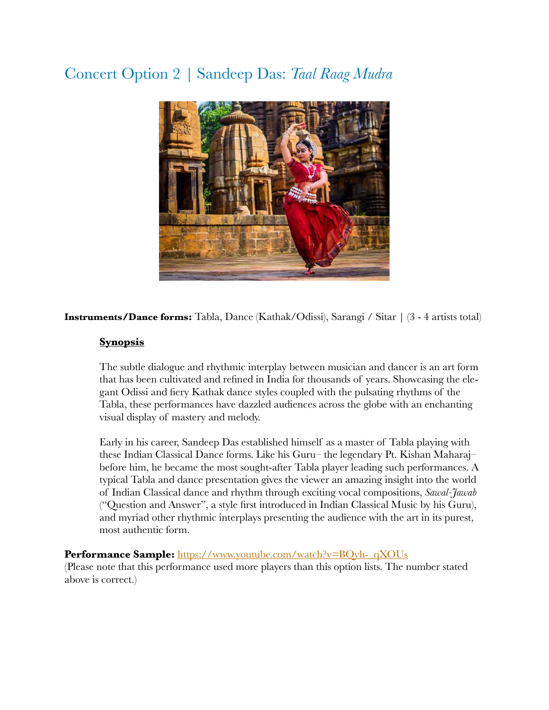# Concert Option 2 *|* Sandeep Das: *Taal Raag Mudra*



#### **Instruments/Dance forms:** Tabla, Dance (Kathak/Odissi), Sarangi / Sitar | (3 - 4 artists total)

#### **Synopsis**

The subtle dialogue and rhythmic interplay between musician and dancer is an art form that has been cultivated and refined in India for thousands of years. Showcasing the elegant Odissi and fiery Kathak dance styles coupled with the pulsating rhythms of the Tabla, these performances have dazzled audiences across the globe with an enchanting visual display of mastery and melody.

Early in his career, Sandeep Das established himself as a master of Tabla playing with these Indian Classical Dance forms. Like his Guru– the legendary Pt. Kishan Maharaj– before him, he became the most sought-after Tabla player leading such performances. A typical Tabla and dance presentation gives the viewer an amazing insight into the world of Indian Classical dance and rhythm through exciting vocal compositions, *Sawal-Jawab* ("Question and Answer", a style first introduced in Indian Classical Music by his Guru), and myriad other rhythmic interplays presenting the audience with the art in its purest, most authentic form.

#### **Performance Sample:** [https://www.youtube.com/watch?v=BQvh-\\_qXOUs](https://www.youtube.com/watch?v=BQvh-_qXOUs)

(Please note that this performance used more players than this option lists. The number stated above is correct.)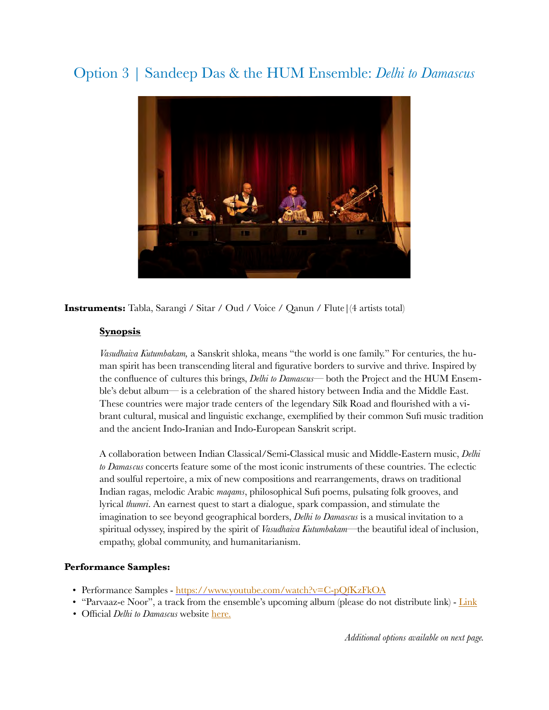## Option 3 | Sandeep Das & the HUM Ensemble: *Delhi to Damascus*



**Instruments:** Tabla, Sarangi / Sitar / Oud / Voice / Qanun / Flute|(4 artists total)

#### **Synopsis**

*Vasudhaiva Kutumbakam,* a Sanskrit shloka, means "the world is one family." For centuries, the human spirit has been transcending literal and figurative borders to survive and thrive. Inspired by the confluence of cultures this brings, *Delhi to Damascus*— both the Project and the HUM Ensemble's debut album— is a celebration of the shared history between India and the Middle East. These countries were major trade centers of the legendary Silk Road and flourished with a vibrant cultural, musical and linguistic exchange, exemplified by their common Sufi music tradition and the ancient Indo-Iranian and Indo-European Sanskrit script.

A collaboration between Indian Classical/Semi-Classical music and Middle-Eastern music, *Delhi to Damascus* concerts feature some of the most iconic instruments of these countries. The eclectic and soulful repertoire, a mix of new compositions and rearrangements, draws on traditional Indian ragas, melodic Arabic *maqams*, philosophical Sufi poems, pulsating folk grooves, and lyrical *thumri*. An earnest quest to start a dialogue, spark compassion, and stimulate the imagination to see beyond geographical borders, *Delhi to Damascus* is a musical invitation to a spiritual odyssey, inspired by the spirit of *Vasudhaiva Kutumbakam*—the beautiful ideal of inclusion, empathy, global community, and humanitarianism.

#### **Performance Samples:**

- Performance Samples -<https://www.youtube.com/watch?v=C-pQfKzFkOA>
- "Parvaaz-e Noor", a track from the ensemble's upcoming album (please do not distribute link) [Link](https://www.youtube.com/watch?v=CK7NfVREr6U&feature=youtu.be)
- *•* Official *Delhi to Damascus* website [here.](https://www.sandeepdas.com/d2dlive)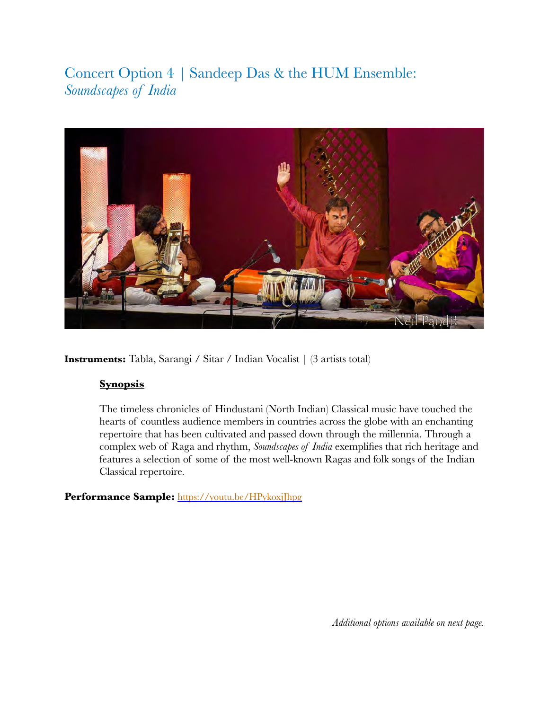Concert Option 4 *|* Sandeep Das & the HUM Ensemble: *Soundscapes of India* 



**Instruments:** Tabla, Sarangi / Sitar / Indian Vocalist | (3 artists total)

#### **Synopsis**

The timeless chronicles of Hindustani (North Indian) Classical music have touched the hearts of countless audience members in countries across the globe with an enchanting repertoire that has been cultivated and passed down through the millennia. Through a complex web of Raga and rhythm, *Soundscapes of India* exemplifies that rich heritage and features a selection of some of the most well-known Ragas and folk songs of the Indian Classical repertoire.

Performance Sample: <https://youtu.be/HPykoxjJhpg>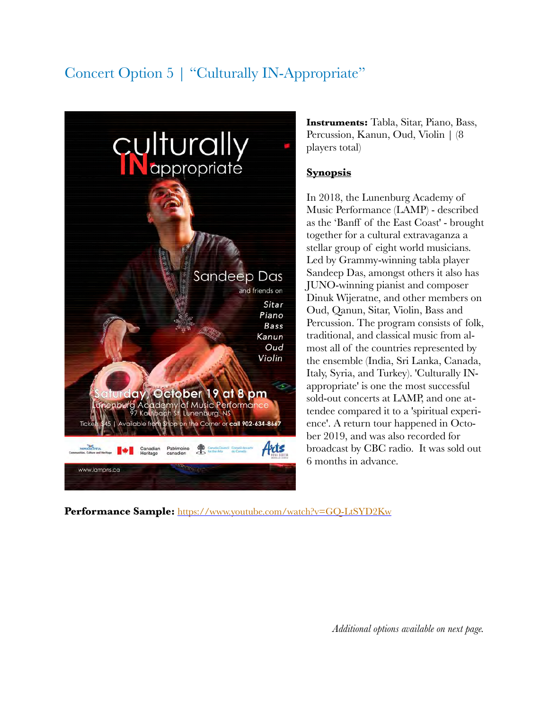# Concert Option 5 | "Culturally IN-Appropriate"



**Instruments:** Tabla, Sitar, Piano, Bass, Percussion, Kanun, Oud, Violin | (8 players total)

#### **Synopsis**

In 2018, the Lunenburg Academy of Music Performance (LAMP) - described as the 'Banff of the East Coast' - brought together for a cultural extravaganza a stellar group of eight world musicians. Led by Grammy-winning tabla player Sandeep Das, amongst others it also has JUNO-winning pianist and composer Dinuk Wijeratne, and other members on Oud, Qanun, Sitar, Violin, Bass and Percussion. The program consists of folk, traditional, and classical music from almost all of the countries represented by the ensemble (India, Sri Lanka, Canada, Italy, Syria, and Turkey). 'Culturally INappropriate' is one the most successful sold-out concerts at LAMP, and one attendee compared it to a 'spiritual experience'. A return tour happened in October 2019, and was also recorded for broadcast by CBC radio. It was sold out 6 months in advance.

**Performance Sample:** <https://www.youtube.com/watch?v=GQ-LtSYD2Kw>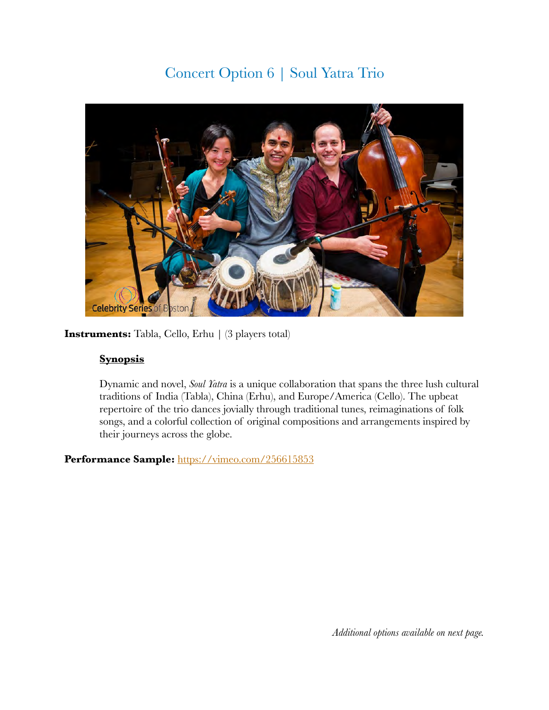## Concert Option 6 | Soul Yatra Trio



**Instruments:** Tabla, Cello, Erhu | (3 players total)

### **Synopsis**

Dynamic and novel, *Soul Yatra* is a unique collaboration that spans the three lush cultural traditions of India (Tabla), China (Erhu), and Europe/America (Cello). The upbeat repertoire of the trio dances jovially through traditional tunes, reimaginations of folk songs, and a colorful collection of original compositions and arrangements inspired by their journeys across the globe.

### Performance Sample: <https://vimeo.com/256615853>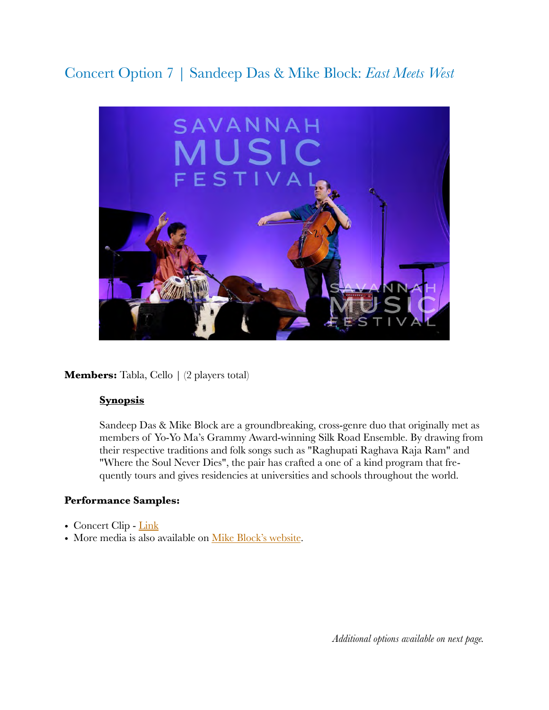## Concert Option 7 | Sandeep Das & Mike Block: *East Meets West*



**Members:** Tabla, Cello | (2 players total)

#### **Synopsis**

Sandeep Das & Mike Block are a groundbreaking, cross-genre duo that originally met as members of Yo-Yo Ma's Grammy Award-winning Silk Road Ensemble. By drawing from their respective traditions and folk songs such as "Raghupati Raghava Raja Ram" and "Where the Soul Never Dies", the pair has crafted a one of a kind program that frequently tours and gives residencies at universities and schools throughout the world.

#### **Performance Samples:**

- Concert Clip [Link](https://youtu.be/H5MWLqUjYsQ?t=330)
- More media is also available on [Mike Block's website.](https://www.mikeblockmusic.com/mikesandeep)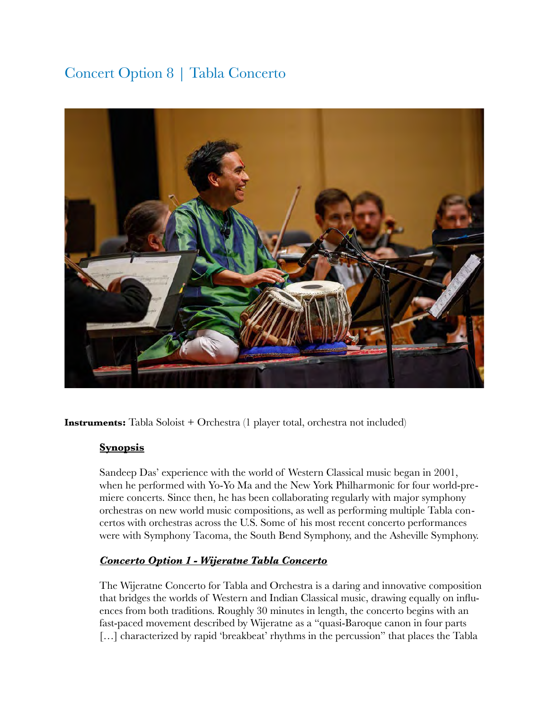## Concert Option 8 | Tabla Concerto



**Instruments:** Tabla Soloist + Orchestra (1 player total, orchestra not included)

#### **Synopsis**

Sandeep Das' experience with the world of Western Classical music began in 2001, when he performed with Yo-Yo Ma and the New York Philharmonic for four world-premiere concerts. Since then, he has been collaborating regularly with major symphony orchestras on new world music compositions, as well as performing multiple Tabla concertos with orchestras across the U.S. Some of his most recent concerto performances were with Symphony Tacoma, the South Bend Symphony, and the Asheville Symphony.

## *Concerto Option 1 - Wijeratne Tabla Concerto*

The Wijeratne Concerto for Tabla and Orchestra is a daring and innovative composition that bridges the worlds of Western and Indian Classical music, drawing equally on influences from both traditions. Roughly 30 minutes in length, the concerto begins with an fast-paced movement described by Wijeratne as a "quasi-Baroque canon in four parts [...] characterized by rapid 'breakbeat' rhythms in the percussion" that places the Tabla